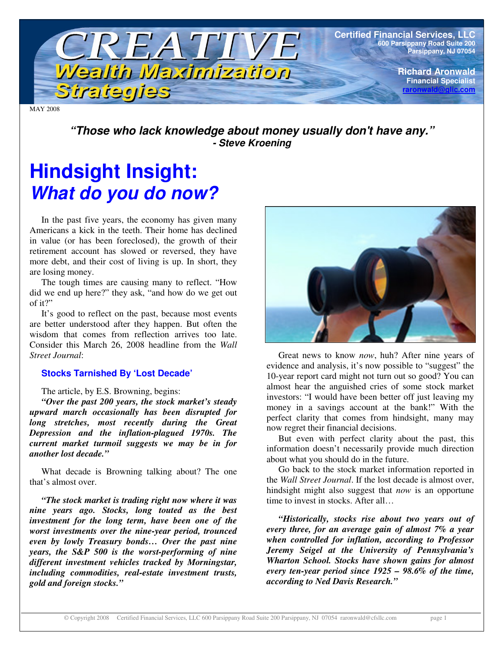

MAY 2008

*"Those who lack knowledge about money usually don't have any." - Steve Kroening*

# **Hindsight Insight:** *What do you do now?*

In the past five years, the economy has given many Americans a kick in the teeth. Their home has declined in value (or has been foreclosed), the growth of their retirement account has slowed or reversed, they have more debt, and their cost of living is up. In short, they are losing money.

The tough times are causing many to reflect. "How did we end up here?" they ask, "and how do we get out of it?"

It's good to reflect on the past, because most events are better understood after they happen. But often the wisdom that comes from reflection arrives too late. Consider this March 26, 2008 headline from the *Wall Street Journal*:

### **Stocks Tarnished By 'Lost Decade'**

#### The article, by E.S. Browning, begins:

*"Over the past 200 years, the stock market's steady upward march occasionally has been disrupted for long stretches, most recently during the Great Depression and the inflation-plagued 1970s. The current market turmoil suggests we may be in for another lost decade."*

What decade is Browning talking about? The one that's almost over.

*"The stock market is trading right now where it was nine years ago. Stocks, long touted as the best investment for the long term, have been one of the worst investments over the nine-year period, trounced even by lowly Treasury bonds… Over the past nine years, the S&P 500 is the worst-performing of nine different investment vehicles tracked by Morningstar, including commodities, real-estate investment trusts, gold and foreign stocks."*



Great news to know *now*, huh? After nine years of evidence and analysis, it's now possible to "suggest" the 10-year report card might not turn out so good? You can almost hear the anguished cries of some stock market investors: "I would have been better off just leaving my money in a savings account at the bank!" With the perfect clarity that comes from hindsight, many may now regret their financial decisions.

But even with perfect clarity about the past, this information doesn't necessarily provide much direction about what you should do in the future.

Go back to the stock market information reported in the *Wall Street Journal*. If the lost decade is almost over, hindsight might also suggest that *now* is an opportune time to invest in stocks. After all…

*"Historically, stocks rise about two years out of every three, for an average gain of almost 7% a year when controlled for inflation, according to Professor Jeremy Seigel at the University of Pennsylvania's Wharton School. Stocks have shown gains for almost every ten-year period since 1925 – 98.6% of the time, according to Ned Davis Research."*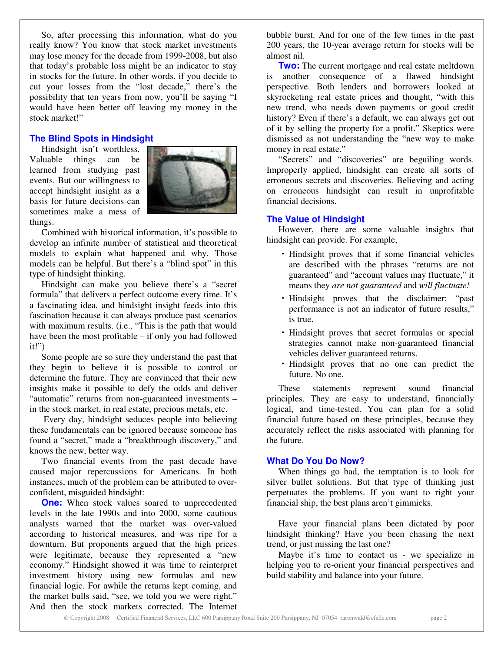So, after processing this information, what do you really know? You know that stock market investments may lose money for the decade from 1999-2008, but also that today's probable loss might be an indicator to stay in stocks for the future. In other words, if you decide to cut your losses from the "lost decade," there's the possibility that ten years from now, you'll be saying "I would have been better off leaving my money in the stock market!"

#### **The Blind Spots in Hindsight**

Hindsight isn't worthless. Valuable things can be learned from studying past events. But our willingness to accept hindsight insight as a basis for future decisions can sometimes make a mess of things.



Combined with historical information, it's possible to develop an infinite number of statistical and theoretical models to explain what happened and why. Those models can be helpful. But there's a "blind spot" in this type of hindsight thinking.

Hindsight can make you believe there's a "secret formula" that delivers a perfect outcome every time. It's a fascinating idea, and hindsight insight feeds into this fascination because it can always produce past scenarios with maximum results. (i.e., "This is the path that would have been the most profitable – if only you had followed it!")

Some people are so sure they understand the past that they begin to believe it is possible to control or determine the future. They are convinced that their new insights make it possible to defy the odds and deliver "automatic" returns from non-guaranteed investments – in the stock market, in real estate, precious metals, etc.

Every day, hindsight seduces people into believing these fundamentals can be ignored because someone has found a "secret," made a "breakthrough discovery," and knows the new, better way.

Two financial events from the past decade have caused major repercussions for Americans. In both instances, much of the problem can be attributed to overconfident, misguided hindsight:

**One:** When stock values soared to unprecedented levels in the late 1990s and into 2000, some cautious analysts warned that the market was over-valued according to historical measures, and was ripe for a downturn. But proponents argued that the high prices were legitimate, because they represented a "new economy." Hindsight showed it was time to reinterpret investment history using new formulas and new financial logic. For awhile the returns kept coming, and the market bulls said, "see, we told you we were right." And then the stock markets corrected. The Internet

bubble burst. And for one of the few times in the past 200 years, the 10-year average return for stocks will be almost nil.

**Two:** The current mortgage and real estate meltdown is another consequence of a flawed hindsight perspective. Both lenders and borrowers looked at skyrocketing real estate prices and thought, "with this new trend, who needs down payments or good credit history? Even if there's a default, we can always get out of it by selling the property for a profit." Skeptics were dismissed as not understanding the "new way to make money in real estate."

"Secrets" and "discoveries" are beguiling words. Improperly applied, hindsight can create all sorts of erroneous secrets and discoveries. Believing and acting on erroneous hindsight can result in unprofitable financial decisions.

#### **The Value of Hindsight**

However, there are some valuable insights that hindsight can provide. For example,

- Hindsight proves that if some financial vehicles are described with the phrases "returns are not guaranteed" and "account values may fluctuate," it means they *are not guaranteed* and *will fluctuate!*
- Hindsight proves that the disclaimer: "past performance is not an indicator of future results," is true.
- Hindsight proves that secret formulas or special strategies cannot make non-guaranteed financial vehicles deliver guaranteed returns.
- Hindsight proves that no one can predict the future. No one.

These statements represent sound financial principles. They are easy to understand, financially logical, and time-tested. You can plan for a solid financial future based on these principles, because they accurately reflect the risks associated with planning for the future.

#### **What Do You Do Now?**

When things go bad, the temptation is to look for silver bullet solutions. But that type of thinking just perpetuates the problems. If you want to right your financial ship, the best plans aren't gimmicks.

Have your financial plans been dictated by poor hindsight thinking? Have you been chasing the next trend, or just missing the last one?

Maybe it's time to contact us - we specialize in helping you to re-orient your financial perspectives and build stability and balance into your future.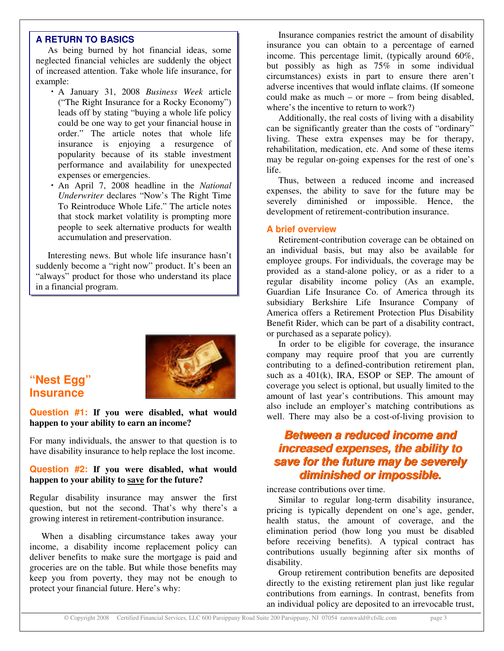As being burned by hot financial ideas, some neglected financial vehicles are suddenly the object of increased attention. Take whole life insurance, for example:

- **EXERURNATO BASICS**<br>
As being bundle vholes are substituted the signature contains the specifical function of increased distribution. Take whole life insurance, for the process interpret can be increased at the container o A January 31, 2008 *Business Week* article ("The Right Insurance for a Rocky Economy") leads off by stating "buying a whole life policy could be one way to get your financial house in order." The article notes that whole life insurance is enjoying a resurgence of popularity because of its stable investment performance and availability for unexpected expenses or emergencies.
	- An April 7, 2008 headline in the *National Underwriter* declares "Now's The Right Time To Reintroduce Whole Life." The article notes that stock market volatility is prompting more people to seek alternative products for wealth accumulation and preservation.

Interesting news. But whole life insurance hasn't suddenly become a "right now" product. It's been an "always" product for those who understand its place in a financial program.



# **"Nest Egg" Insurance**

#### **Question #1: If you were disabled, what would happen to your ability to earn an income?**

For many individuals, the answer to that question is to have disability insurance to help replace the lost income.

#### **Question #2: If you were disabled, what would happen to your ability to save for the future?**

Regular disability insurance may answer the first question, but not the second. That's why there's a growing interest in retirement-contribution insurance.

When a disabling circumstance takes away your income, a disability income replacement policy can deliver benefits to make sure the mortgage is paid and groceries are on the table. But while those benefits may keep you from poverty, they may not be enough to protect your financial future. Here's why:

Insurance companies restrict the amount of disability insurance you can obtain to a percentage of earned income. This percentage limit, (typically around 60%, but possibly as high as 75% in some individual circumstances) exists in part to ensure there aren't adverse incentives that would inflate claims. (If someone could make as much – or more – from being disabled, where's the incentive to return to work?)

Additionally, the real costs of living with a disability can be significantly greater than the costs of "ordinary" living. These extra expenses may be for therapy, rehabilitation, medication, etc. And some of these items may be regular on-going expenses for the rest of one's life.

Thus, between a reduced income and increased expenses, the ability to save for the future may be severely diminished or impossible. Hence, the development of retirement-contribution insurance.

#### **A brief overview**

Retirement-contribution coverage can be obtained on an individual basis, but may also be available for employee groups. For individuals, the coverage may be provided as a stand-alone policy, or as a rider to a regular disability income policy (As an example, Guardian Life Insurance Co. of America through its subsidiary Berkshire Life Insurance Company of America offers a Retirement Protection Plus Disability Benefit Rider, which can be part of a disability contract, or purchased as a separate policy).

In order to be eligible for coverage, the insurance company may require proof that you are currently contributing to a defined-contribution retirement plan, such as a  $401(k)$ , IRA, ESOP or SEP. The amount of coverage you select is optional, but usually limited to the amount of last year's contributions. This amount may also include an employer's matching contributions as well. There may also be a cost-of-living provision to

# *Between a reduced income and Between a reduced income and increased expenses, the ability to increased expenses, the ability to save for the future may be severely save for future may be severely diminished or impossible.*

increase contributions over time.

Similar to regular long-term disability insurance, pricing is typically dependent on one's age, gender, health status, the amount of coverage, and the elimination period (how long you must be disabled before receiving benefits). A typical contract has contributions usually beginning after six months of disability.

Group retirement contribution benefits are deposited directly to the existing retirement plan just like regular contributions from earnings. In contrast, benefits from an individual policy are deposited to an irrevocable trust,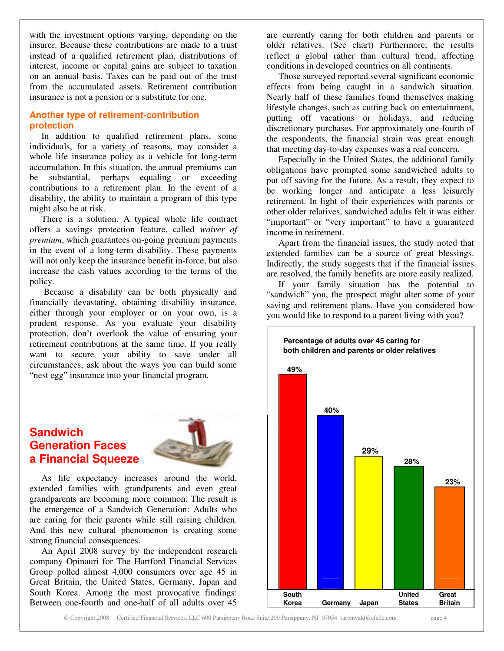with the investment options varying, depending on the insurer. Because these contributions are made to a trust instead of a qualified retirement plan, distributions of interest, income or capital gains are subject to taxation on an annual basis. Taxes can be paid out of the trust from the accumulated assets. Retirement contribution insurance is not a pension or a substitute for one.

#### **Another type of retirement-contribution protection**

In addition to qualified retirement plans, some individuals, for a variety of reasons, may consider a whole life insurance policy as a vehicle for long-term accumulation. In this situation, the annual premiums can be substantial, perhaps equaling or exceeding contributions to a retirement plan. In the event of a disability, the ability to maintain a program of this type might also be at risk.

There is a solution. A typical whole life contract offers a savings protection feature, called *waiver of premium*, which guarantees on-going premium payments in the event of a long-term disability. These payments will not only keep the insurance benefit in-force, but also increase the cash values according to the terms of the policy.

Because a disability can be both physically and financially devastating, obtaining disability insurance, either through your employer or on your own, is a prudent response. As you evaluate your disability protection, don't overlook the value of ensuring your retirement contributions at the same time. If you really want to secure your ability to save under all circumstances, ask about the ways you can build some "nest egg" insurance into your financial program.

# **Sandwich Generation Faces a Financial Squeeze**



As life expectancy increases around the world, extended families with grandparents and even great grandparents are becoming more common. The result is the emergence of a Sandwich Generation: Adults who are caring for their parents while still raising children. And this new cultural phenomenon is creating some strong financial consequences.

An April 2008 survey by the independent research company Opinauri for The Hartford Financial Services Group polled almost 4,000 consumers over age 45 in Great Britain, the United States, Germany, Japan and South Korea. Among the most provocative findings: Between one-fourth and one-half of all adults over 45

are currently caring for both children and parents or older relatives. (See chart) Furthermore, the results reflect a global rather than cultural trend, affecting conditions in developed countries on all continents.

Those surveyed reported several significant economic effects from being caught in a sandwich situation. Nearly half of these families found themselves making lifestyle changes, such as cutting back on entertainment, putting off vacations or holidays, and reducing discretionary purchases. For approximately one-fourth of the respondents, the financial strain was great enough that meeting day-to-day expenses was a real concern.

Especially in the United States, the additional family obligations have prompted some sandwiched adults to put off saving for the future. As a result, they expect to be working longer and anticipate a less leisurely retirement. In light of their experiences with parents or other older relatives, sandwiched adults felt it was either "important" or "very important" to have a guaranteed income in retirement.

Apart from the financial issues, the study noted that extended families can be a source of great blessings. Indirectly, the study suggests that if the financial issues are resolved, the family benefits are more easily realized.

If your family situation has the potential to "sandwich" you, the prospect might alter some of your saving and retirement plans. Have you considered how you would like to respond to a parent living with you?



© Copyright 2008 Certified Financial Services, LLC 600 Parsippany Road Suite 200 Parsippany, NJ 07054 raronwald@cfsllc.com page 4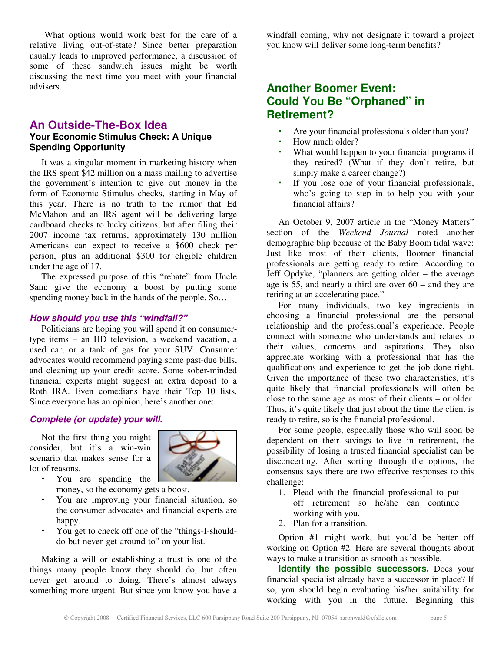What options would work best for the care of a relative living out-of-state? Since better preparation usually leads to improved performance, a discussion of some of these sandwich issues might be worth discussing the next time you meet with your financial advisers.

### **An Outside-The-Box Idea Your Economic Stimulus Check: A Unique Spending Opportunity**

It was a singular moment in marketing history when the IRS spent \$42 million on a mass mailing to advertise the government's intention to give out money in the form of Economic Stimulus checks, starting in May of this year. There is no truth to the rumor that Ed McMahon and an IRS agent will be delivering large cardboard checks to lucky citizens, but after filing their 2007 income tax returns, approximately 130 million Americans can expect to receive a \$600 check per person, plus an additional \$300 for eligible children under the age of 17.

The expressed purpose of this "rebate" from Uncle Sam: give the economy a boost by putting some spending money back in the hands of the people. So…

#### *How should you use this "windfall?"*

Politicians are hoping you will spend it on consumertype items – an HD television, a weekend vacation, a used car, or a tank of gas for your SUV. Consumer advocates would recommend paying some past-due bills, and cleaning up your credit score. Some sober-minded financial experts might suggest an extra deposit to a Roth IRA. Even comedians have their Top 10 lists. Since everyone has an opinion, here's another one:

#### *Complete (or update) your will.*

Not the first thing you might consider, but it's a win-win scenario that makes sense for a lot of reasons.



- You are spending the money, so the economy gets a boost.
- You are improving your financial situation, so the consumer advocates and financial experts are happy.
- You get to check off one of the "things-I-shoulddo-but-never-get-around-to" on your list.

Making a will or establishing a trust is one of the things many people know they should do, but often never get around to doing. There's almost always something more urgent. But since you know you have a

windfall coming, why not designate it toward a project you know will deliver some long-term benefits?

# **Another Boomer Event: Could You Be "Orphaned" in Retirement?**

- Are your financial professionals older than you?
- How much older?
- What would happen to your financial programs if they retired? (What if they don't retire, but simply make a career change?)
- If you lose one of your financial professionals, who's going to step in to help you with your financial affairs?

An October 9, 2007 article in the "Money Matters" section of the *Weekend Journal* noted another demographic blip because of the Baby Boom tidal wave: Just like most of their clients, Boomer financial professionals are getting ready to retire. According to Jeff Opdyke, "planners are getting older – the average age is 55, and nearly a third are over 60 – and they are retiring at an accelerating pace."

For many individuals, two key ingredients in choosing a financial professional are the personal relationship and the professional's experience. People connect with someone who understands and relates to their values, concerns and aspirations. They also appreciate working with a professional that has the qualifications and experience to get the job done right. Given the importance of these two characteristics, it's quite likely that financial professionals will often be close to the same age as most of their clients – or older. Thus, it's quite likely that just about the time the client is ready to retire, so is the financial professional.

For some people, especially those who will soon be dependent on their savings to live in retirement, the possibility of losing a trusted financial specialist can be disconcerting. After sorting through the options, the consensus says there are two effective responses to this challenge:

- 1. Plead with the financial professional to put off retirement so he/she can continue working with you.
- 2. Plan for a transition.

Option #1 might work, but you'd be better off working on Option #2. Here are several thoughts about ways to make a transition as smooth as possible.

**Identify the possible successors.** Does your financial specialist already have a successor in place? If so, you should begin evaluating his/her suitability for working with you in the future. Beginning this